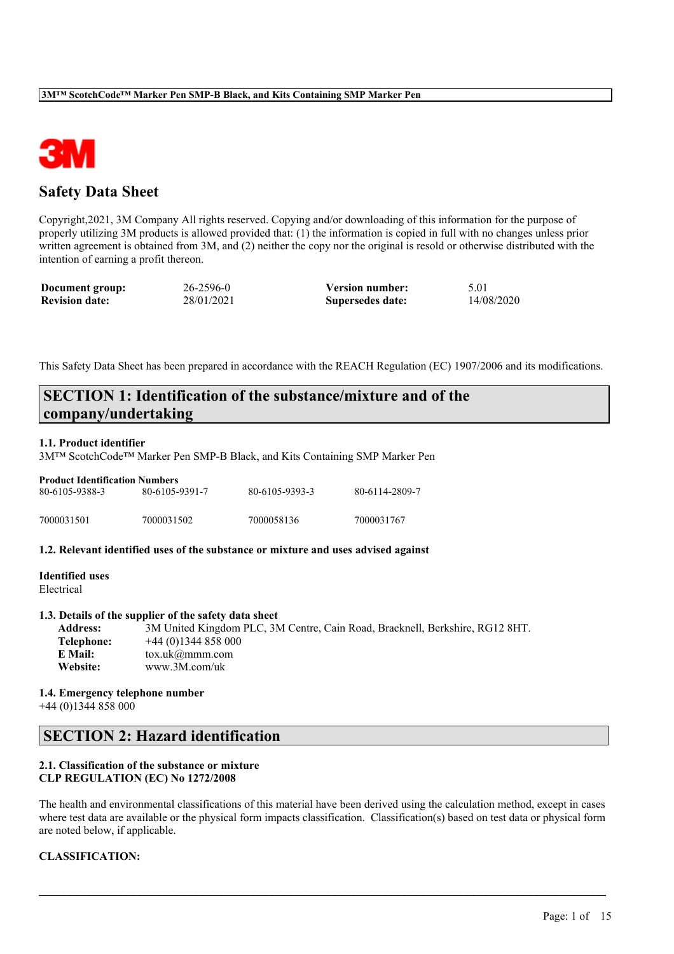

# **Safety Data Sheet**

Copyright,2021, 3M Company All rights reserved. Copying and/or downloading of this information for the purpose of properly utilizing 3M products is allowed provided that: (1) the information is copied in full with no changes unless prior written agreement is obtained from 3M, and (2) neither the copy nor the original is resold or otherwise distributed with the intention of earning a profit thereon.

| Document group:       | $26 - 2596 - 0$ | <b>Version number:</b> | 5.01       |
|-----------------------|-----------------|------------------------|------------|
| <b>Revision date:</b> | 28/01/2021      | Supersedes date:       | 14/08/2020 |

This Safety Data Sheet has been prepared in accordance with the REACH Regulation (EC) 1907/2006 and its modifications.

# **SECTION 1: Identification of the substance/mixture and of the company/undertaking**

## **1.1. Product identifier**

3M™ ScotchCode™ Marker Pen SMP-B Black, and Kits Containing SMP Marker Pen

| <b>Product Identification Numbers</b> |                |                |                |  |  |  |
|---------------------------------------|----------------|----------------|----------------|--|--|--|
| 80-6105-9388-3                        | 80-6105-9391-7 | 80-6105-9393-3 | 80-6114-2809-7 |  |  |  |
| 7000031501                            | 7000031502     | 7000058136     | 7000031767     |  |  |  |

## **1.2. Relevant identified uses of the substance or mixture and uses advised against**

#### **Identified uses** Electrical

### **1.3. Details of the supplier of the safety data sheet**

**Address:** 3M United Kingdom PLC, 3M Centre, Cain Road, Bracknell, Berkshire, RG12 8HT. **Telephone:** +44 (0)1344 858 000 **E Mail:** tox.uk@mmm.com **Website:** www.3M.com/uk

#### **1.4. Emergency telephone number** +44 (0)1344 858 000

# **SECTION 2: Hazard identification**

#### **2.1. Classification of the substance or mixture CLP REGULATION (EC) No 1272/2008**

The health and environmental classifications of this material have been derived using the calculation method, except in cases where test data are available or the physical form impacts classification. Classification(s) based on test data or physical form are noted below, if applicable.

 $\mathcal{L}_\mathcal{L} = \mathcal{L}_\mathcal{L} = \mathcal{L}_\mathcal{L} = \mathcal{L}_\mathcal{L} = \mathcal{L}_\mathcal{L} = \mathcal{L}_\mathcal{L} = \mathcal{L}_\mathcal{L} = \mathcal{L}_\mathcal{L} = \mathcal{L}_\mathcal{L} = \mathcal{L}_\mathcal{L} = \mathcal{L}_\mathcal{L} = \mathcal{L}_\mathcal{L} = \mathcal{L}_\mathcal{L} = \mathcal{L}_\mathcal{L} = \mathcal{L}_\mathcal{L} = \mathcal{L}_\mathcal{L} = \mathcal{L}_\mathcal{L}$ 

## **CLASSIFICATION:**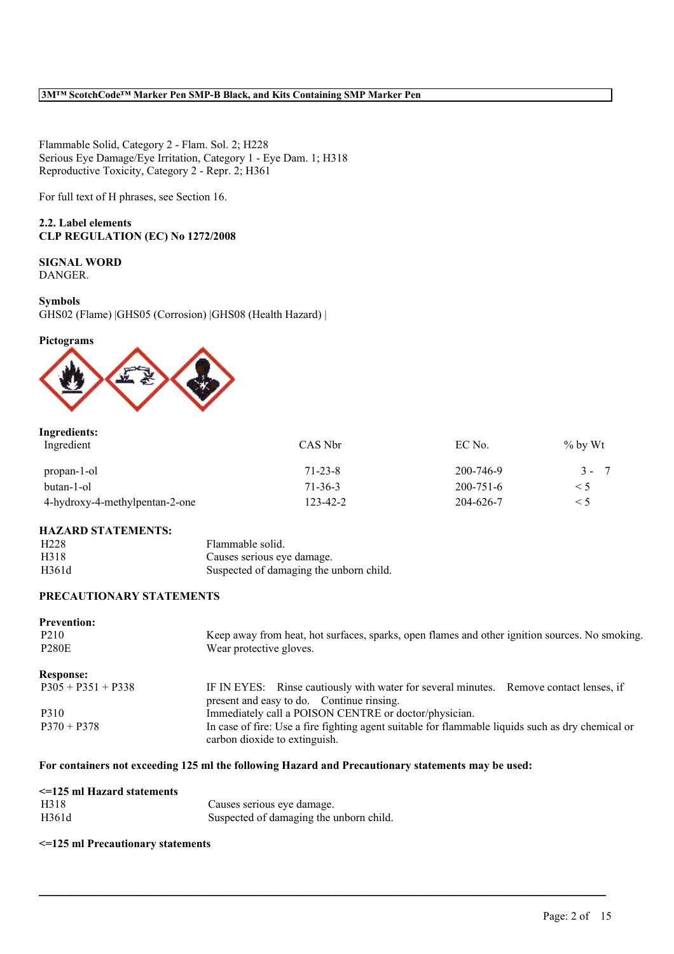Flammable Solid, Category 2 - Flam. Sol. 2; H228 Serious Eye Damage/Eye Irritation, Category 1 - Eye Dam. 1; H318 Reproductive Toxicity, Category 2 - Repr. 2; H361

For full text of H phrases, see Section 16.

## **2.2. Label elements CLP REGULATION (EC) No 1272/2008**

## **SIGNAL WORD** DANGER.

#### **Symbols**

GHS02 (Flame) |GHS05 (Corrosion) |GHS08 (Health Hazard) |

### **Pictograms**



## **Ingredients:**

| Ingredient                     | CAS Nbr       | EC No.          | $\%$ by Wt |
|--------------------------------|---------------|-----------------|------------|
| propan-1-ol                    | $71 - 23 - 8$ | 200-746-9       | $3 - 7$    |
| butan-1-ol                     | 71-36-3       | $200 - 751 - 6$ | $\leq 5$   |
| 4-hydroxy-4-methylpentan-2-one | 123-42-2      | 204-626-7       | $\leq 5$   |

## **HAZARD STATEMENTS:**

| H <sub>228</sub> | Flammable solid.                        |
|------------------|-----------------------------------------|
| H318             | Causes serious eye damage.              |
| H361d            | Suspected of damaging the unborn child. |

## **PRECAUTIONARY STATEMENTS**

| <b>Prevention:</b><br>P <sub>2</sub> 10<br><b>P280E</b> | Keep away from heat, hot surfaces, sparks, open flames and other ignition sources. No smoking.<br>Wear protective gloves.           |
|---------------------------------------------------------|-------------------------------------------------------------------------------------------------------------------------------------|
| <b>Response:</b>                                        |                                                                                                                                     |
| $P305 + P351 + P338$                                    | IF IN EYES: Rinse cautiously with water for several minutes. Remove contact lenses, if<br>present and easy to do. Continue rinsing. |
| P310                                                    | Immediately call a POISON CENTRE or doctor/physician.                                                                               |
| $P370 + P378$                                           | In case of fire: Use a fire fighting agent suitable for flammable liquids such as dry chemical or<br>carbon dioxide to extinguish.  |

 $\mathcal{L}_\mathcal{L} = \mathcal{L}_\mathcal{L} = \mathcal{L}_\mathcal{L} = \mathcal{L}_\mathcal{L} = \mathcal{L}_\mathcal{L} = \mathcal{L}_\mathcal{L} = \mathcal{L}_\mathcal{L} = \mathcal{L}_\mathcal{L} = \mathcal{L}_\mathcal{L} = \mathcal{L}_\mathcal{L} = \mathcal{L}_\mathcal{L} = \mathcal{L}_\mathcal{L} = \mathcal{L}_\mathcal{L} = \mathcal{L}_\mathcal{L} = \mathcal{L}_\mathcal{L} = \mathcal{L}_\mathcal{L} = \mathcal{L}_\mathcal{L}$ 

## **For containers not exceeding 125 ml the following Hazard and Precautionary statements may be used:**

| $\leq$ =125 ml Hazard statements |                                         |
|----------------------------------|-----------------------------------------|
| H318                             | Causes serious eye damage.              |
| H361d                            | Suspected of damaging the unborn child. |

## **<=125 ml Precautionary statements**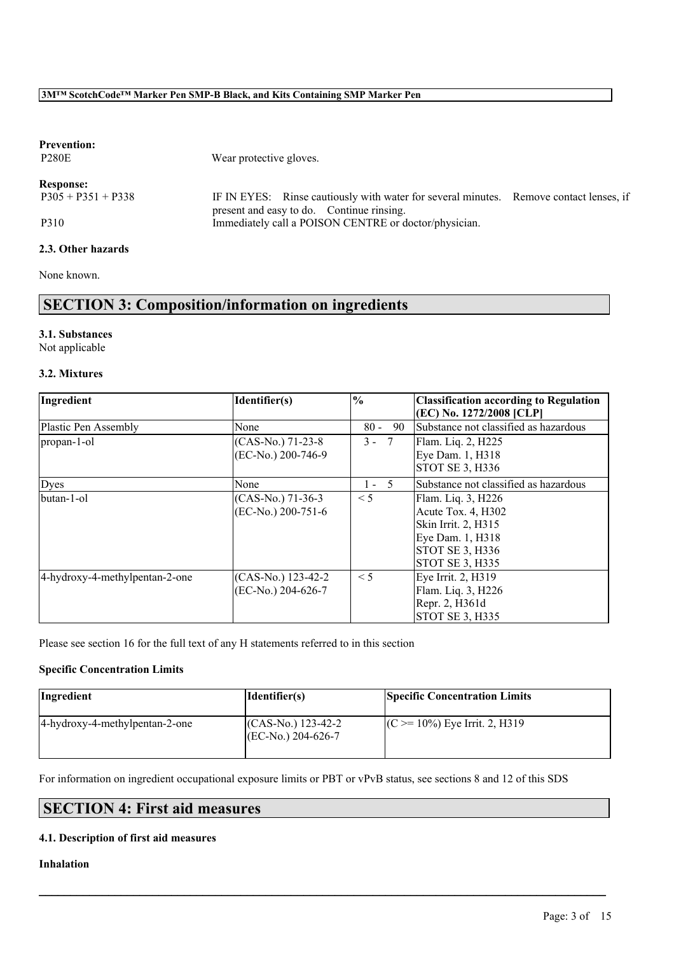| <b>Prevention:</b><br><b>P280E</b> | Wear protective gloves.                                                                                                             |  |
|------------------------------------|-------------------------------------------------------------------------------------------------------------------------------------|--|
| <b>Response:</b>                   |                                                                                                                                     |  |
| $P305 + P351 + P338$               | IF IN EYES: Rinse cautiously with water for several minutes. Remove contact lenses, if<br>present and easy to do. Continue rinsing. |  |
| P310                               | Immediately call a POISON CENTRE or doctor/physician.                                                                               |  |
| 2.3. Other hazards                 |                                                                                                                                     |  |

None known.

# **SECTION 3: Composition/information on ingredients**

## **3.1. Substances**

Not applicable

## **3.2. Mixtures**

| Ingredient                     | Identifier(s)                            | $\%$         | <b>Classification according to Regulation</b><br>(EC) No. 1272/2008 [CLP]                                                         |
|--------------------------------|------------------------------------------|--------------|-----------------------------------------------------------------------------------------------------------------------------------|
| Plastic Pen Assembly           | None                                     | 90<br>$80 -$ | Substance not classified as hazardous                                                                                             |
| propan-1-ol                    | (CAS-No.) 71-23-8<br>(EC-No.) 200-746-9  | $3 - 7$      | Flam. Liq. 2, H225<br>Eye Dam. 1, H318<br><b>STOT SE 3, H336</b>                                                                  |
| Dyes                           | None                                     | $1 - 5$      | Substance not classified as hazardous                                                                                             |
| butan-1-ol                     | $(CAS-N0)$ 71-36-3<br>(EC-No.) 200-751-6 | $\leq 5$     | Flam. Liq. 3, H226<br>Acute Tox. 4, H302<br>Skin Irrit. 2, H315<br>Eye Dam. 1, H318<br> STOT SE 3, H336<br><b>STOT SE 3, H335</b> |
| 4-hydroxy-4-methylpentan-2-one | (CAS-No.) 123-42-2<br>(EC-No.) 204-626-7 | $\leq 5$     | Eye Irrit. 2, H319<br>Flam. Liq. 3, H226<br>Repr. 2, H361d<br>STOT SE 3, H335                                                     |

Please see section 16 for the full text of any H statements referred to in this section

## **Specific Concentration Limits**

| Ingredient                     | Identifier(s)                             | <b>Specific Concentration Limits</b> |
|--------------------------------|-------------------------------------------|--------------------------------------|
| 4-hydroxy-4-methylpentan-2-one | $(CAS-N0)$ 123-42-2<br>$(CEN0) 204-626-7$ | $(C \ge 10\%)$ Eye Irrit. 2, H319    |

 $\mathcal{L}_\mathcal{L} = \mathcal{L}_\mathcal{L} = \mathcal{L}_\mathcal{L} = \mathcal{L}_\mathcal{L} = \mathcal{L}_\mathcal{L} = \mathcal{L}_\mathcal{L} = \mathcal{L}_\mathcal{L} = \mathcal{L}_\mathcal{L} = \mathcal{L}_\mathcal{L} = \mathcal{L}_\mathcal{L} = \mathcal{L}_\mathcal{L} = \mathcal{L}_\mathcal{L} = \mathcal{L}_\mathcal{L} = \mathcal{L}_\mathcal{L} = \mathcal{L}_\mathcal{L} = \mathcal{L}_\mathcal{L} = \mathcal{L}_\mathcal{L}$ 

For information on ingredient occupational exposure limits or PBT or vPvB status, see sections 8 and 12 of this SDS

# **SECTION 4: First aid measures**

## **4.1. Description of first aid measures**

## **Inhalation**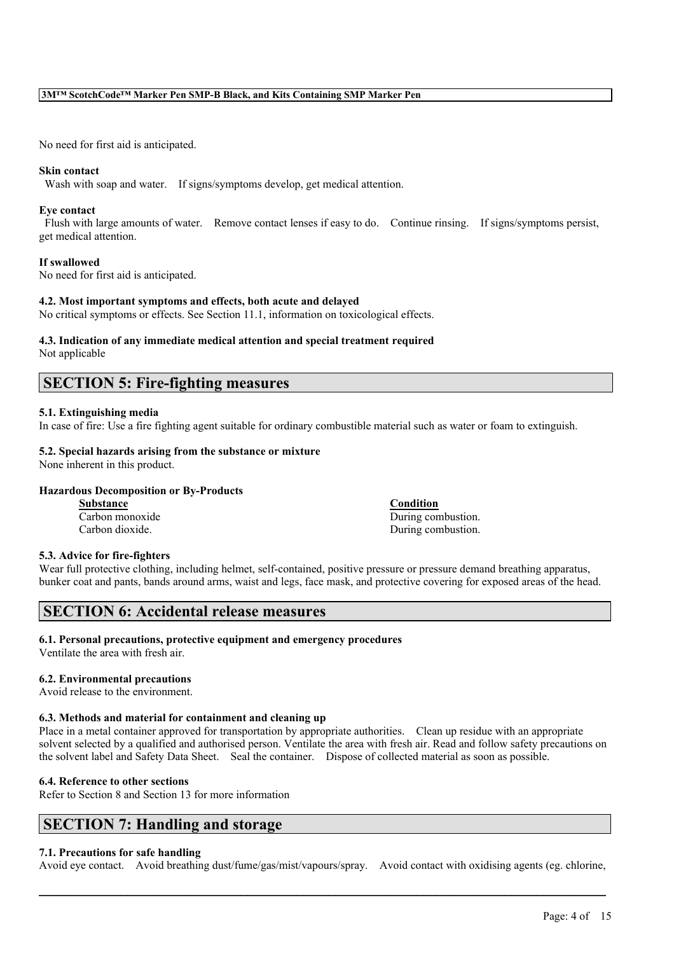No need for first aid is anticipated.

#### **Skin contact**

Wash with soap and water. If signs/symptoms develop, get medical attention.

#### **Eye contact**

Flush with large amounts of water. Remove contact lenses if easy to do. Continue rinsing. If signs/symptoms persist, get medical attention.

#### **If swallowed**

No need for first aid is anticipated.

#### **4.2. Most important symptoms and effects, both acute and delayed**

No critical symptoms or effects. See Section 11.1, information on toxicological effects.

#### **4.3. Indication of any immediate medical attention and special treatment required** Not applicable

## **SECTION 5: Fire-fighting measures**

#### **5.1. Extinguishing media**

In case of fire: Use a fire fighting agent suitable for ordinary combustible material such as water or foam to extinguish.

## **5.2. Special hazards arising from the substance or mixture**

None inherent in this product.

## **Hazardous Decomposition or By-Products**

**Substance Condition**

Carbon monoxide During combustion. Carbon dioxide. During combustion.

## **5.3. Advice for fire-fighters**

Wear full protective clothing, including helmet, self-contained, positive pressure or pressure demand breathing apparatus, bunker coat and pants, bands around arms, waist and legs, face mask, and protective covering for exposed areas of the head.

# **SECTION 6: Accidental release measures**

## **6.1. Personal precautions, protective equipment and emergency procedures**

Ventilate the area with fresh air.

### **6.2. Environmental precautions**

Avoid release to the environment.

## **6.3. Methods and material for containment and cleaning up**

Place in a metal container approved for transportation by appropriate authorities. Clean up residue with an appropriate solvent selected by a qualified and authorised person. Ventilate the area with fresh air. Read and follow safety precautions on the solvent label and Safety Data Sheet. Seal the container. Dispose of collected material as soon as possible.

## **6.4. Reference to other sections**

Refer to Section 8 and Section 13 for more information

# **SECTION 7: Handling and storage**

## **7.1. Precautions for safe handling**

Avoid eye contact. Avoid breathing dust/fume/gas/mist/vapours/spray. Avoid contact with oxidising agents (eg. chlorine,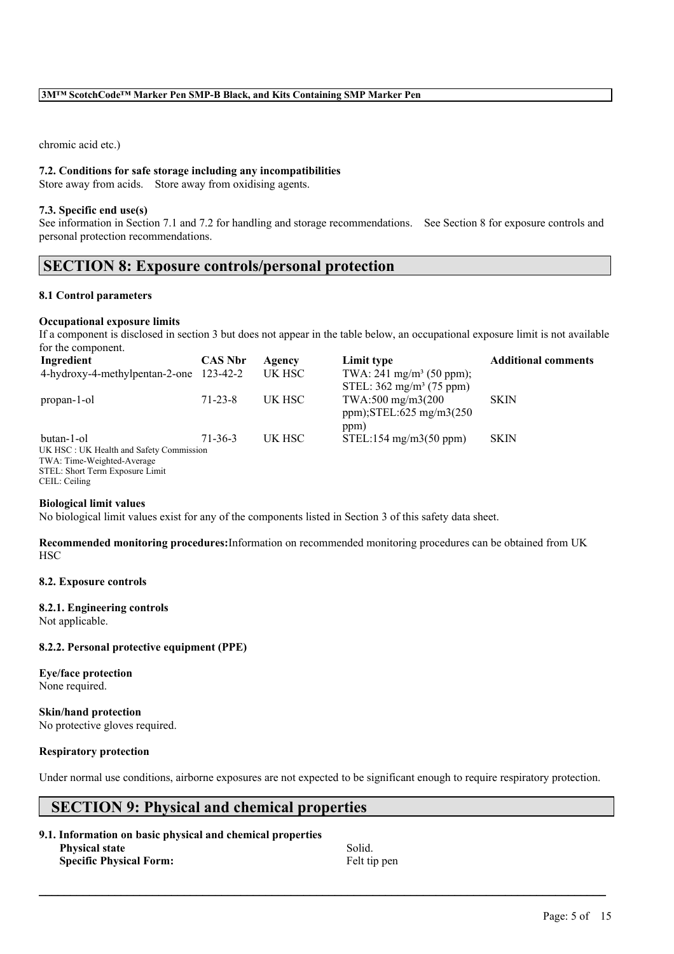chromic acid etc.)

#### **7.2. Conditions for safe storage including any incompatibilities**

Store away from acids. Store away from oxidising agents.

#### **7.3. Specific end use(s)**

See information in Section 7.1 and 7.2 for handling and storage recommendations. See Section 8 for exposure controls and personal protection recommendations.

## **SECTION 8: Exposure controls/personal protection**

#### **8.1 Control parameters**

#### **Occupational exposure limits**

If a component is disclosed in section 3 but does not appear in the table below, an occupational exposure limit is not available for the component.

| Ingredient                              | <b>CAS Nbr</b> | Agency | Limit type                          | <b>Additional comments</b> |
|-----------------------------------------|----------------|--------|-------------------------------------|----------------------------|
| 4-hydroxy-4-methylpentan-2-one 123-42-2 |                | UK HSC | TWA: $241 \text{ mg/m}^3$ (50 ppm); |                            |
|                                         |                |        | STEL: $362 \text{ mg/m}^3$ (75 ppm) |                            |
| propan-1-ol                             | $71 - 23 - 8$  | UK HSC | TWA:500 mg/m3(200                   | <b>SKIN</b>                |
|                                         |                |        | ppm); $STEL:625$ mg/m $3(250)$      |                            |
|                                         |                |        | ppm)                                |                            |
| butan-1-ol                              | $71 - 36 - 3$  | UK HSC | $STEL:154$ mg/m $3(50$ ppm)         | <b>SKIN</b>                |
| UK HSC: UK Health and Safety Commission |                |        |                                     |                            |
| TWA: Time-Weighted-Average              |                |        |                                     |                            |
| STEL: Short Term Exposure Limit         |                |        |                                     |                            |

CEIL: Ceiling

#### **Biological limit values**

No biological limit values exist for any of the components listed in Section 3 of this safety data sheet.

**Recommended monitoring procedures:**Information on recommended monitoring procedures can be obtained from UK **HSC** 

#### **8.2. Exposure controls**

#### **8.2.1. Engineering controls**

Not applicable.

#### **8.2.2. Personal protective equipment (PPE)**

**Eye/face protection** None required.

**Skin/hand protection** No protective gloves required.

#### **Respiratory protection**

Under normal use conditions, airborne exposures are not expected to be significant enough to require respiratory protection.

 $\mathcal{L}_\mathcal{L} = \mathcal{L}_\mathcal{L} = \mathcal{L}_\mathcal{L} = \mathcal{L}_\mathcal{L} = \mathcal{L}_\mathcal{L} = \mathcal{L}_\mathcal{L} = \mathcal{L}_\mathcal{L} = \mathcal{L}_\mathcal{L} = \mathcal{L}_\mathcal{L} = \mathcal{L}_\mathcal{L} = \mathcal{L}_\mathcal{L} = \mathcal{L}_\mathcal{L} = \mathcal{L}_\mathcal{L} = \mathcal{L}_\mathcal{L} = \mathcal{L}_\mathcal{L} = \mathcal{L}_\mathcal{L} = \mathcal{L}_\mathcal{L}$ 

# **SECTION 9: Physical and chemical properties**

| 9.1. Information on basic physical and chemical properties |         |
|------------------------------------------------------------|---------|
| <b>Physical state</b>                                      | Solid.  |
| <b>Specific Physical Form:</b>                             | Felt ti |

**Specific Physical Form:** Felt tip pen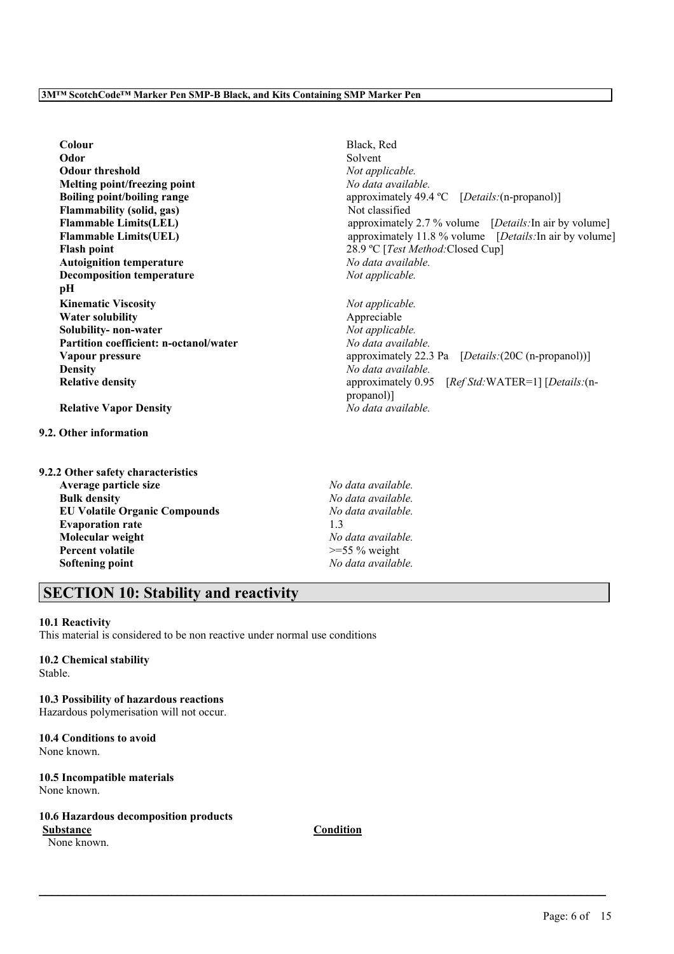**Colour** Black, Red **Odor** Solvent **Odour threshold** *Not applicable.* **Melting point/freezing point** *No data available.* **Flammability (solid, gas)** Not classified<br> **Flammable Limits(LEL)** approximately **Flash point** 28.9 °C [*Test Method:* Closed Cup] **Autoignition temperature** *No data available.* **Decomposition temperature** *Not applicable.* **pH Kinematic Viscosity** *Not applicable.* **Water solubility** Appreciable **Solubility- non-water** *Not applicable.* **Partition coefficient: n-octanol/water** *No data available.* **Density** *No data available.*

**Relative Vapor Density** *No data available.*

- **9.2. Other information**
- **9.2.2 Other safety characteristics**

**Average particle size** *No data available.* **Bulk density** *No data available.* **EU Volatile Organic Compounds** *No data available.* **Evaporation rate** 1.3 **Molecular weight** *No data available.* **Percent volatile**  $\geq$ =55 % weight **Softening point** *No data available.*

 $\mathcal{L}_\mathcal{L} = \mathcal{L}_\mathcal{L} = \mathcal{L}_\mathcal{L} = \mathcal{L}_\mathcal{L} = \mathcal{L}_\mathcal{L} = \mathcal{L}_\mathcal{L} = \mathcal{L}_\mathcal{L} = \mathcal{L}_\mathcal{L} = \mathcal{L}_\mathcal{L} = \mathcal{L}_\mathcal{L} = \mathcal{L}_\mathcal{L} = \mathcal{L}_\mathcal{L} = \mathcal{L}_\mathcal{L} = \mathcal{L}_\mathcal{L} = \mathcal{L}_\mathcal{L} = \mathcal{L}_\mathcal{L} = \mathcal{L}_\mathcal{L}$ 

## **SECTION 10: Stability and reactivity**

#### **10.1 Reactivity**

This material is considered to be non reactive under normal use conditions

#### **10.2 Chemical stability**

Stable.

**10.3 Possibility of hazardous reactions** Hazardous polymerisation will not occur.

**10.4 Conditions to avoid** None known.

**10.5 Incompatible materials** None known.

## **10.6 Hazardous decomposition products**

**Substance Condition**

None known.

**Boiling point/boiling range** approximately 49.4 °C [*Details:*(n-propanol)] approximately 2.7 % volume [*Details*:In air by volume] **Flammable Limits(UEL)** approximately 11.8 % volume [*Details:* In air by volume]

**Vapour pressure** approximately 22.3 Pa  $[Details:(20C (n-propanol))]$ **Relative density** approximately 0.95 [*Ref Std:*WATER=1] [*Details:*(npropanol)]

Page: 6 of 15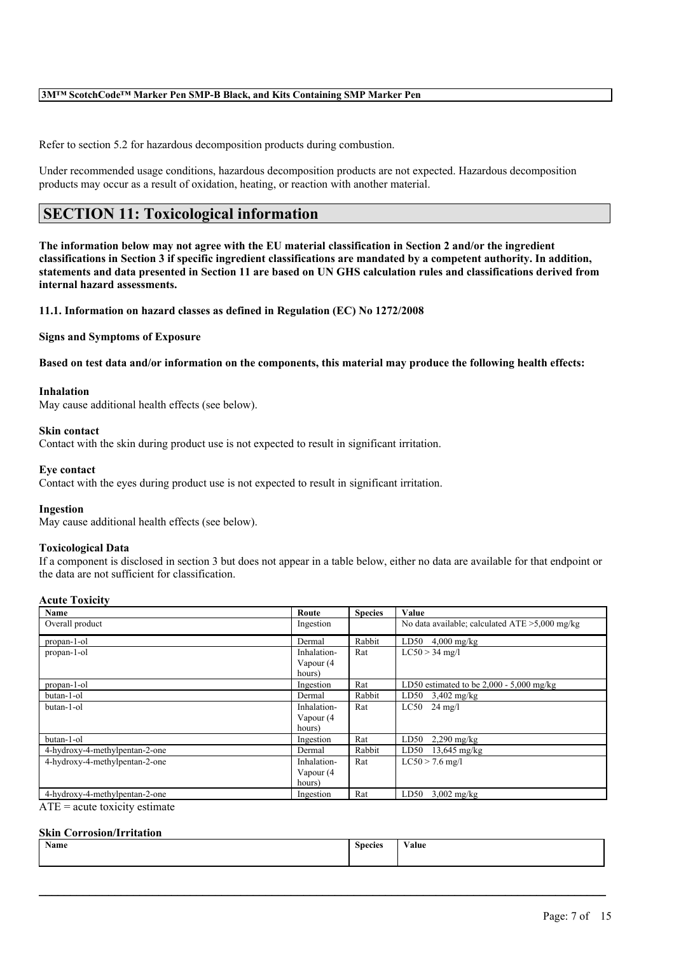Refer to section 5.2 for hazardous decomposition products during combustion.

Under recommended usage conditions, hazardous decomposition products are not expected. Hazardous decomposition products may occur as a result of oxidation, heating, or reaction with another material.

# **SECTION 11: Toxicological information**

The information below may not agree with the EU material classification in Section 2 and/or the ingredient classifications in Section 3 if specific ingredient classifications are mandated by a competent authority. In addition, statements and data presented in Section 11 are based on UN GHS calculation rules and classifications derived from **internal hazard assessments.**

**11.1. Information on hazard classes as defined in Regulation (EC) No 1272/2008**

#### **Signs and Symptoms of Exposure**

Based on test data and/or information on the components, this material may produce the following health effects:

## **Inhalation**

May cause additional health effects (see below).

#### **Skin contact**

Contact with the skin during product use is not expected to result in significant irritation.

#### **Eye contact**

Contact with the eyes during product use is not expected to result in significant irritation.

### **Ingestion**

May cause additional health effects (see below).

#### **Toxicological Data**

If a component is disclosed in section 3 but does not appear in a table below, either no data are available for that endpoint or the data are not sufficient for classification.

#### **Acute Toxicity**

| Name                           | Route       | <b>Species</b> | Value                                             |
|--------------------------------|-------------|----------------|---------------------------------------------------|
| Overall product                | Ingestion   |                | No data available; calculated $ATE > 5,000$ mg/kg |
| propan-1-ol                    | Dermal      | Rabbit         | LD50<br>$4,000$ mg/kg                             |
| propan-1-ol                    | Inhalation- | Rat            | $LC50 > 34$ mg/l                                  |
|                                | Vapour (4   |                |                                                   |
|                                | hours)      |                |                                                   |
| propan-1-ol                    | Ingestion   | Rat            | LD50 estimated to be $2,000 - 5,000$ mg/kg        |
| butan-1-ol                     | Dermal      | Rabbit         | $LD50$ 3,402 mg/kg                                |
| butan-1-ol                     | Inhalation- | Rat            | $LC50$ 24 mg/l                                    |
|                                | Vapour (4   |                |                                                   |
|                                | hours)      |                |                                                   |
| butan-1-ol                     | Ingestion   | Rat            | LD50<br>$2,290$ mg/kg                             |
| 4-hydroxy-4-methylpentan-2-one | Dermal      | Rabbit         | $LD50$ 13,645 mg/kg                               |
| 4-hydroxy-4-methylpentan-2-one | Inhalation- | Rat            | $LC50 > 7.6$ mg/l                                 |
|                                | Vapour (4   |                |                                                   |
|                                | hours)      |                |                                                   |
| 4-hydroxy-4-methylpentan-2-one | Ingestion   | Rat            | LD50<br>$3,002$ mg/kg                             |

 $ATE = acute$  toxicity estimate

#### **Skin Corrosion/Irritation**

| Name | <b>Species</b> | XY.<br>V alue |
|------|----------------|---------------|
|      |                |               |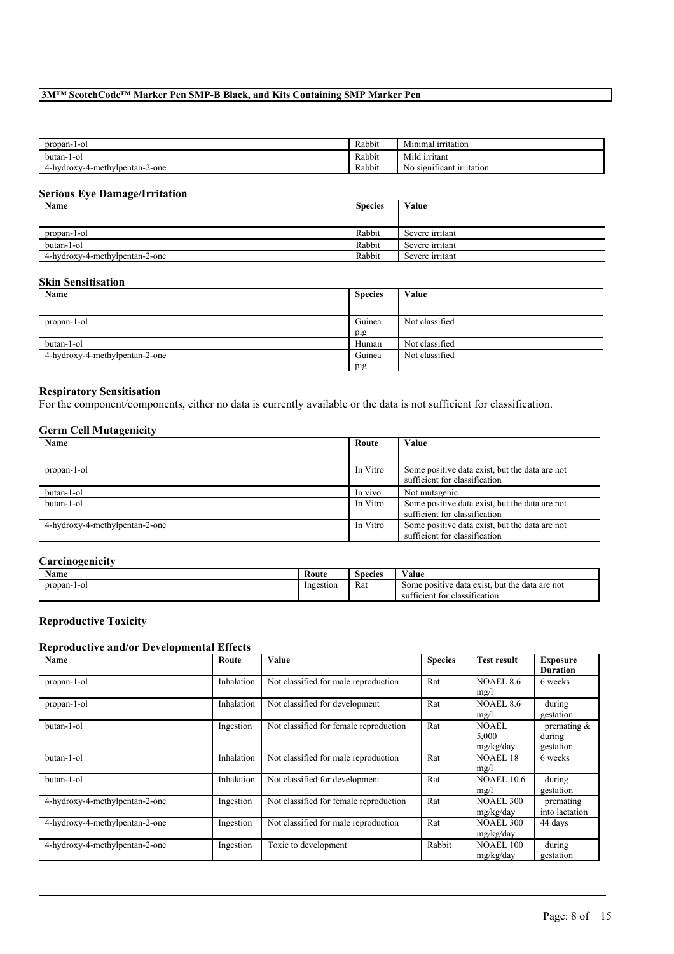| propan-1-ol                   | Rabbit | $\overline{\phantom{a}}$<br>--<br>urritation<br>Minimal |
|-------------------------------|--------|---------------------------------------------------------|
| butan-<br>1-01                | Rabbit | ---<br>irritant<br>Mild 1                               |
| -hydroxy-4-methylpentan-2-one | Rabbit | , significant<br>: irritation<br>No                     |

## **Serious Eye Damage/Irritation**

| Name                           | <b>Species</b> | Value           |
|--------------------------------|----------------|-----------------|
|                                |                |                 |
| propan-1-ol                    | Rabbit         | Severe irritant |
| butan-1-ol                     | Rabbit         | Severe irritant |
| 4-hydroxy-4-methylpentan-2-one | Rabbit         | Severe irritant |

## **Skin Sensitisation**

| Name                           | <b>Species</b> | Value          |
|--------------------------------|----------------|----------------|
|                                |                |                |
| propan-1-ol                    | Guinea         | Not classified |
|                                | pig            |                |
| butan-1-ol                     | Human          | Not classified |
| 4-hydroxy-4-methylpentan-2-one | Guinea         | Not classified |
|                                | pig            |                |

## **Respiratory Sensitisation**

For the component/components, either no data is currently available or the data is not sufficient for classification.

## **Germ Cell Mutagenicity**

| Name                           | Route    | Value                                          |
|--------------------------------|----------|------------------------------------------------|
|                                |          |                                                |
| propan-1-ol                    | In Vitro | Some positive data exist, but the data are not |
|                                |          | sufficient for classification                  |
| butan-1-ol                     | In vivo  | Not mutagenic                                  |
| butan-1-ol                     | In Vitro | Some positive data exist, but the data are not |
|                                |          | sufficient for classification                  |
| 4-hydroxy-4-methylpentan-2-one | In Vitro | Some positive data exist, but the data are not |
|                                |          | sufficient for classification                  |

### **Carcinogenicity**

| $\rightarrow$ $\rightarrow$<br>Name | Route     | <b>Species</b> | -- -<br>∕ alue                                    |
|-------------------------------------|-----------|----------------|---------------------------------------------------|
| propan-<br>-1-01                    | Ingestion | Rat            | but the data are not<br>Some positive data exist. |
|                                     |           |                | tor classification.<br>sufficient                 |

# **Reproductive Toxicity**

### **Reproductive and/or Developmental Effects**

| Name                           | Route      | Value                                  | <b>Species</b> | <b>Test result</b>                 | <b>Exposure</b><br><b>Duration</b>    |
|--------------------------------|------------|----------------------------------------|----------------|------------------------------------|---------------------------------------|
| propan-1-ol                    | Inhalation | Not classified for male reproduction   | Rat            | <b>NOAEL 8.6</b><br>mg/l           | 6 weeks                               |
| propan-1-ol                    | Inhalation | Not classified for development         | Rat            | <b>NOAEL 8.6</b><br>mg/l           | during<br>gestation                   |
| butan-1-ol                     | Ingestion  | Not classified for female reproduction | Rat            | <b>NOAEL</b><br>5,000<br>mg/kg/day | premating $\&$<br>during<br>gestation |
| butan-1-ol                     | Inhalation | Not classified for male reproduction   | Rat            | <b>NOAEL 18</b><br>mg/l            | 6 weeks                               |
| butan-1-ol                     | Inhalation | Not classified for development         | Rat            | <b>NOAEL 10.6</b><br>mg/l          | during<br>gestation                   |
| 4-hydroxy-4-methylpentan-2-one | Ingestion  | Not classified for female reproduction | Rat            | <b>NOAEL 300</b><br>mg/kg/day      | premating<br>into lactation           |
| 4-hydroxy-4-methylpentan-2-one | Ingestion  | Not classified for male reproduction   | Rat            | <b>NOAEL 300</b><br>mg/kg/day      | 44 days                               |
| 4-hydroxy-4-methylpentan-2-one | Ingestion  | Toxic to development                   | Rabbit         | <b>NOAEL 100</b><br>mg/kg/day      | during<br>gestation                   |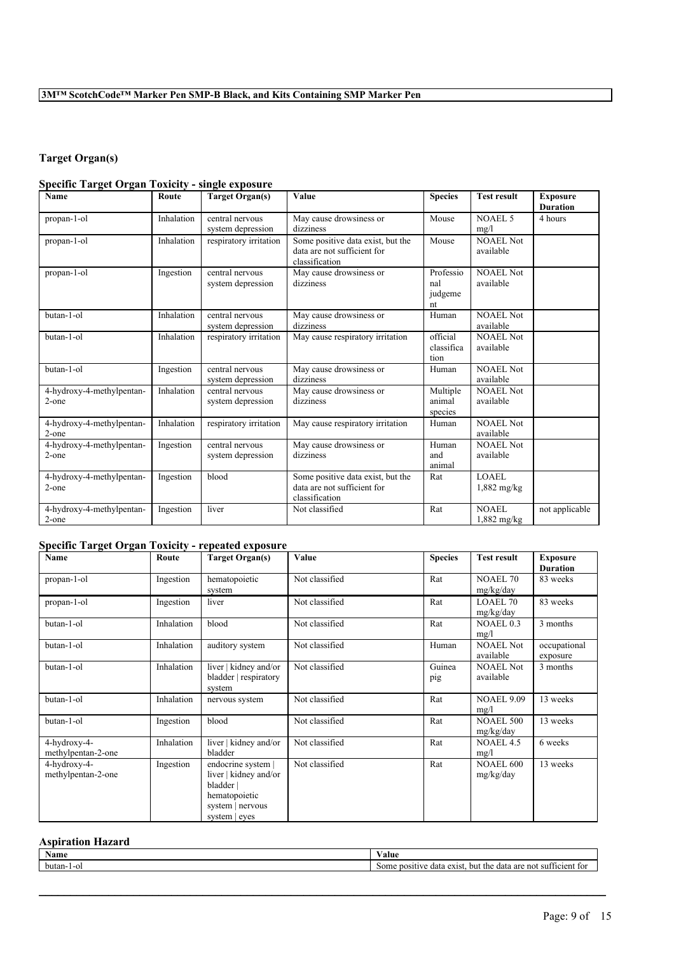# **Target Organ(s)**

## **Specific Target Organ Toxicity - single exposure**

| Name                                  | Route      | <b>Target Organ(s)</b>               | Value                                                                              | <b>Species</b>                    | <b>Test result</b>            | <b>Exposure</b><br><b>Duration</b> |
|---------------------------------------|------------|--------------------------------------|------------------------------------------------------------------------------------|-----------------------------------|-------------------------------|------------------------------------|
| propan-1-ol                           | Inhalation | central nervous<br>system depression | May cause drowsiness or<br>dizziness                                               | Mouse                             | NOAEL 5<br>mg/l               | 4 hours                            |
| propan-1-ol                           | Inhalation | respiratory irritation               | Some positive data exist, but the<br>data are not sufficient for<br>classification | Mouse                             | <b>NOAEL Not</b><br>available |                                    |
| propan-1-ol                           | Ingestion  | central nervous<br>system depression | May cause drowsiness or<br>dizziness                                               | Professio<br>nal<br>judgeme<br>nt | <b>NOAEL Not</b><br>available |                                    |
| butan-1-ol                            | Inhalation | central nervous<br>system depression | May cause drowsiness or<br>dizziness                                               | Human                             | <b>NOAEL Not</b><br>available |                                    |
| butan-1-ol                            | Inhalation | respiratory irritation               | May cause respiratory irritation                                                   | official<br>classifica<br>tion    | NOAEL Not<br>available        |                                    |
| butan-1-ol                            | Ingestion  | central nervous<br>system depression | May cause drowsiness or<br>dizziness                                               | Human                             | <b>NOAEL Not</b><br>available |                                    |
| 4-hydroxy-4-methylpentan-<br>$2$ -one | Inhalation | central nervous<br>system depression | May cause drowsiness or<br>dizziness                                               | Multiple<br>animal<br>species     | <b>NOAEL Not</b><br>available |                                    |
| 4-hydroxy-4-methylpentan-<br>2-one    | Inhalation | respiratory irritation               | May cause respiratory irritation                                                   | Human                             | NOAEL Not<br>available        |                                    |
| 4-hydroxy-4-methylpentan-<br>2-one    | Ingestion  | central nervous<br>system depression | May cause drowsiness or<br>dizziness                                               | Human<br>and<br>animal            | <b>NOAEL Not</b><br>available |                                    |
| 4-hydroxy-4-methylpentan-<br>$2$ -one | Ingestion  | blood                                | Some positive data exist, but the<br>data are not sufficient for<br>classification | Rat                               | LOAEL<br>$1,882$ mg/kg        |                                    |
| 4-hydroxy-4-methylpentan-<br>$2$ -one | Ingestion  | liver                                | Not classified                                                                     | Rat                               | NOAEL<br>1,882 mg/kg          | not applicable                     |

## **Specific Target Organ Toxicity - repeated exposure**

| Name               | Route      | <b>Target Organ(s)</b> | Value          | <b>Species</b> | <b>Test result</b> | <b>Exposure</b> |
|--------------------|------------|------------------------|----------------|----------------|--------------------|-----------------|
|                    |            |                        |                |                |                    | <b>Duration</b> |
| propan-1-ol        | Ingestion  | hematopoietic          | Not classified | Rat            | <b>NOAEL 70</b>    | 83 weeks        |
|                    |            | system                 |                |                | mg/kg/day          |                 |
| propan-1-ol        | Ingestion  | liver                  | Not classified | Rat            | LOAEL 70           | 83 weeks        |
|                    |            |                        |                |                | mg/kg/day          |                 |
| butan-1-ol         | Inhalation | blood                  | Not classified | Rat            | <b>NOAEL 0.3</b>   | 3 months        |
|                    |            |                        |                |                | mg/l               |                 |
| butan-1-ol         | Inhalation | auditory system        | Not classified | Human          | <b>NOAEL Not</b>   | occupational    |
|                    |            |                        |                |                | available          | exposure        |
| butan-1-ol         | Inhalation | liver   kidney and/or  | Not classified | Guinea         | <b>NOAEL Not</b>   | 3 months        |
|                    |            | bladder respiratory    |                | pig            | available          |                 |
|                    |            | system                 |                |                |                    |                 |
| butan-1-ol         | Inhalation | nervous system         | Not classified | Rat            | <b>NOAEL 9.09</b>  | 13 weeks        |
|                    |            |                        |                |                | mg/l               |                 |
| butan-1-ol         | Ingestion  | blood                  | Not classified | Rat            | <b>NOAEL 500</b>   | 13 weeks        |
|                    |            |                        |                |                | mg/kg/day          |                 |
| 4-hydroxy-4-       | Inhalation | liver   kidney and/or  | Not classified | Rat            | NOAEL 4.5          | 6 weeks         |
| methylpentan-2-one |            | bladder                |                |                | mg/l               |                 |
| 4-hydroxy-4-       | Ingestion  | endocrine system       | Not classified | Rat            | <b>NOAEL 600</b>   | 13 weeks        |
| methylpentan-2-one |            | liver   kidney and/or  |                |                | mg/kg/day          |                 |
|                    |            | bladder                |                |                |                    |                 |
|                    |            | hematopoietic          |                |                |                    |                 |
|                    |            | system   nervous       |                |                |                    |                 |
|                    |            | system   eyes          |                |                |                    |                 |

## **Aspiration Hazard**

| Name<br>'alue             |                                                                                       |
|---------------------------|---------------------------------------------------------------------------------------|
| butan-.<br>Some<br>. - Or | $\sim$<br>positive<br>but the<br>exist<br>are not<br>data<br>ticien<br>e data<br>-sut |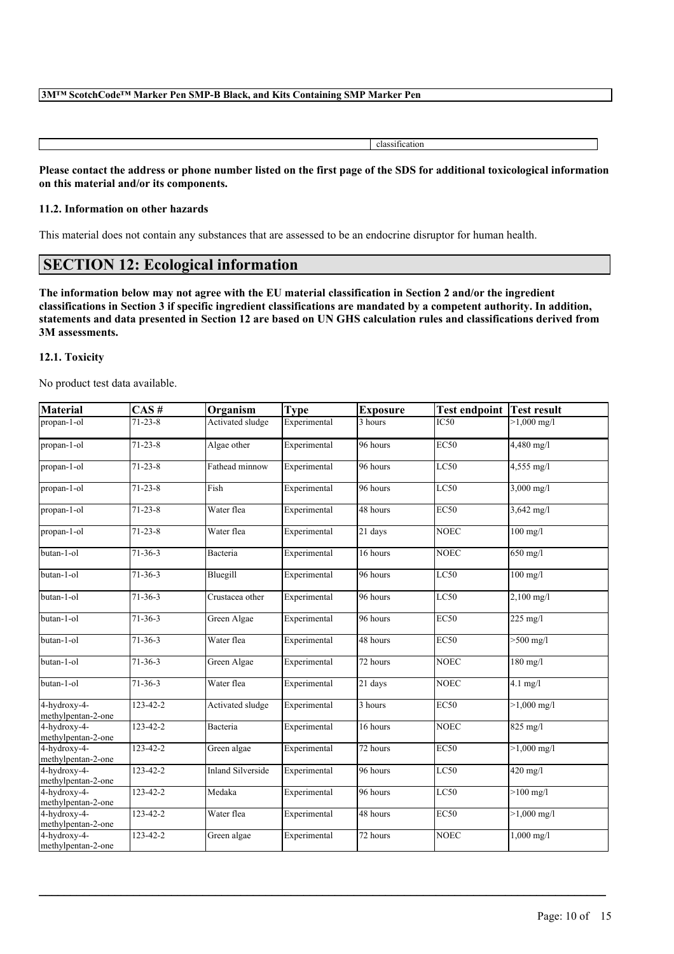| ,,, |
|-----|
|     |

Please contact the address or phone number listed on the first page of the SDS for additional toxicological information **on this material and/or its components.**

### **11.2. Information on other hazards**

This material does not contain any substances that are assessed to be an endocrine disruptor for human health.

# **SECTION 12: Ecological information**

The information below may not agree with the EU material classification in Section 2 and/or the ingredient classifications in Section 3 if specific ingredient classifications are mandated by a competent authority. In addition, statements and data presented in Section 12 are based on UN GHS calculation rules and classifications derived from **3M assessments.**

## **12.1. Toxicity**

No product test data available.

| <b>Material</b>                    | $CAS \#$       | Organism                 | <b>Type</b>  | <b>Exposure</b>       | <b>Test endpoint</b> | <b>Test result</b>           |
|------------------------------------|----------------|--------------------------|--------------|-----------------------|----------------------|------------------------------|
| propan-1-ol                        | $71 - 23 - 8$  | Activated sludge         | Experimental | 3 hours               | IC50                 | $>1,000 \text{ mg/l}$        |
| propan-1-ol                        | $71 - 23 - 8$  | Algae other              | Experimental | 96 hours              | <b>EC50</b>          | 4,480 mg/l                   |
| propan-1-ol                        | $71 - 23 - 8$  | Fathead minnow           | Experimental | 96 hours              | LC50                 | 4,555 mg/l                   |
| propan-1-ol                        | $71 - 23 - 8$  | Fish                     | Experimental | 96 hours              | LC50                 | $3,000 \text{ mg/l}$         |
| propan-1-ol                        | $71 - 23 - 8$  | Water flea               | Experimental | 48 hours              | <b>EC50</b>          | 3,642 mg/l                   |
| propan-1-ol                        | $71 - 23 - 8$  | Water flea               | Experimental | 21 days               | <b>NOEC</b>          | $100 \overline{\mathrm{mg}}$ |
| butan-1-ol                         | $71 - 36 - 3$  | Bacteria                 | Experimental | 16 hours              | <b>NOEC</b>          | 650 mg/l                     |
| butan-1-ol                         | $71 - 36 - 3$  | Bluegill                 | Experimental | 96 hours              | LC50                 | $100$ mg/l                   |
| butan-1-ol                         | $71 - 36 - 3$  | Crustacea other          | Experimental | 96 hours              | LC50                 | $2,100$ mg/l                 |
| butan-1-ol                         | $71-36-3$      | Green Algae              | Experimental | 96 hours              | EC50                 | 225 mg/l                     |
| butan-1-ol                         | $71 - 36 - 3$  | Water flea               | Experimental | 48 hours              | EC50                 | $>500$ mg/l                  |
| butan-1-ol                         | $71 - 36 - 3$  | Green Algae              | Experimental | 72 hours              | <b>NOEC</b>          | $180$ mg/l                   |
| butan-1-ol                         | $71 - 36 - 3$  | Water flea               | Experimental | $21$ days             | <b>NOEC</b>          | $4.1$ mg/l                   |
| 4-hydroxy-4-<br>methylpentan-2-one | 123-42-2       | Activated sludge         | Experimental | 3 hours               | $\overline{EC50}$    | $>1,000 \text{ mg/l}$        |
| 4-hydroxy-4-<br>methylpentan-2-one | $123 - 42 - 2$ | Bacteria                 | Experimental | 16 hours              | <b>NOEC</b>          | $825$ mg/l                   |
| 4-hydroxy-4-<br>methylpentan-2-one | $123 - 42 - 2$ | Green algae              | Experimental | $\overline{72}$ hours | <b>EC50</b>          | $>1,000 \frac{\text{mg}}{1}$ |
| 4-hydroxy-4-<br>methylpentan-2-one | 123-42-2       | <b>Inland Silverside</b> | Experimental | 96 hours              | LC50                 | 420 mg/l                     |
| 4-hydroxy-4-<br>methylpentan-2-one | 123-42-2       | Medaka                   | Experimental | 96 hours              | LC50                 | $>100$ mg/l                  |
| 4-hydroxy-4-<br>methylpentan-2-one | $123 - 42 - 2$ | Water flea               | Experimental | 48 hours              | <b>EC50</b>          | $>1,000$ mg/l                |
| 4-hydroxy-4-<br>methylpentan-2-one | 123-42-2       | Green algae              | Experimental | 72 hours              | <b>NOEC</b>          | $1,000 \text{ mg/l}$         |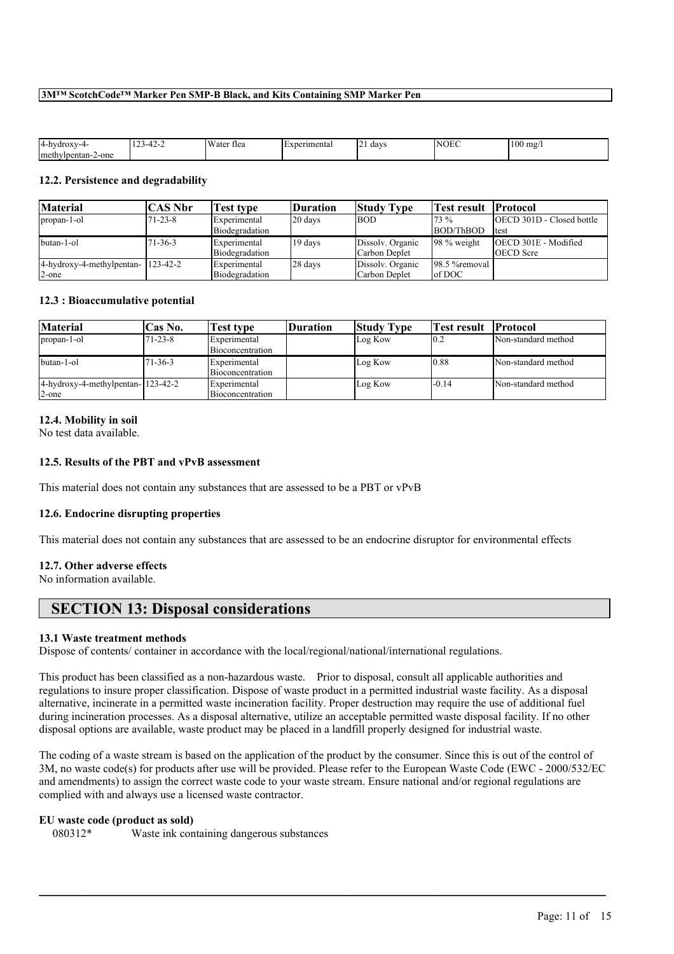| 14-hydroxy<br>$\mathbf{v}$  | $\sim$<br>$-1 - 2$<br><br>т.<br>. . | $I W$ aw<br>'ater flea | Experimental<br>. LADU | -<br>davs<br><u>_</u> | ، ۱۸<br>OEC | 100<br>) mg |
|-----------------------------|-------------------------------------|------------------------|------------------------|-----------------------|-------------|-------------|
| !-one<br>methy<br>/lpentan- |                                     |                        |                        |                       |             |             |

#### **12.2. Persistence and degradability**

| <b>Material</b>                    | <b>CAS Nbr</b> | <b>Test type</b> | Duration | <b>Study Type</b> | Test result     | <b>Protocol</b>                  |
|------------------------------------|----------------|------------------|----------|-------------------|-----------------|----------------------------------|
| propan-1-ol                        | $71 - 23 - 8$  | Experimental     | 20 days  | <b>BOD</b>        | 73 %            | <b>OECD 301D - Closed bottle</b> |
|                                    |                | Biodegradation   |          |                   | BOD/ThBOD       | Itest                            |
| butan-1-ol                         | $71 - 36 - 3$  | Experimental     | 19 days  | Dissolv. Organic  | $98\%$ weight   | <b>IOECD 301E - Modified</b>     |
|                                    |                | Biodegradation   |          | Carbon Deplet     |                 | <b>OECD</b> Scre                 |
| 4-hydroxy-4-methylpentan- 123-42-2 |                | Experimental     | 28 days  | Dissolv. Organic  | 198.5 % removal |                                  |
| $2$ -one                           |                | Biodegradation   |          | Carbon Deplet     | $\log$ DOC      |                                  |

#### **12.3 : Bioaccumulative potential**

| Material                                | <b>Cas No.</b> | Test type        | <b>Duration</b> | <b>Study Type</b> | Test result | <b>Protocol</b>     |
|-----------------------------------------|----------------|------------------|-----------------|-------------------|-------------|---------------------|
| propan-1-ol                             | $71 - 23 - 8$  | Experimental     |                 | Log Kow           | 10.2        | Non-standard method |
|                                         |                | Bioconcentration |                 |                   |             |                     |
| butan-1-ol                              | $71 - 36 - 3$  | Experimental     |                 | Log Kow           | 10.88       | Non-standard method |
|                                         |                | Bioconcentration |                 |                   |             |                     |
| $4$ -hydroxy-4-methylpentan- $123-42-2$ |                | Experimental     |                 | Log Kow           | l-0.14      | Non-standard method |
| $2$ -one                                |                | Bioconcentration |                 |                   |             |                     |

#### **12.4. Mobility in soil**

No test data available.

## **12.5. Results of the PBT and vPvB assessment**

This material does not contain any substances that are assessed to be a PBT or vPvB

#### **12.6. Endocrine disrupting properties**

This material does not contain any substances that are assessed to be an endocrine disruptor for environmental effects

## **12.7. Other adverse effects**

No information available.

# **SECTION 13: Disposal considerations**

#### **13.1 Waste treatment methods**

Dispose of contents/ container in accordance with the local/regional/national/international regulations.

This product has been classified as a non-hazardous waste. Prior to disposal, consult all applicable authorities and regulations to insure proper classification. Dispose of waste product in a permitted industrial waste facility. As a disposal alternative, incinerate in a permitted waste incineration facility. Proper destruction may require the use of additional fuel during incineration processes. As a disposal alternative, utilize an acceptable permitted waste disposal facility. If no other disposal options are available, waste product may be placed in a landfill properly designed for industrial waste.

The coding of a waste stream is based on the application of the product by the consumer. Since this is out of the control of 3M, no waste code(s) for products after use will be provided. Please refer to the European Waste Code (EWC - 2000/532/EC and amendments) to assign the correct waste code to your waste stream. Ensure national and/or regional regulations are complied with and always use a licensed waste contractor.

 $\mathcal{L}_\mathcal{L} = \mathcal{L}_\mathcal{L} = \mathcal{L}_\mathcal{L} = \mathcal{L}_\mathcal{L} = \mathcal{L}_\mathcal{L} = \mathcal{L}_\mathcal{L} = \mathcal{L}_\mathcal{L} = \mathcal{L}_\mathcal{L} = \mathcal{L}_\mathcal{L} = \mathcal{L}_\mathcal{L} = \mathcal{L}_\mathcal{L} = \mathcal{L}_\mathcal{L} = \mathcal{L}_\mathcal{L} = \mathcal{L}_\mathcal{L} = \mathcal{L}_\mathcal{L} = \mathcal{L}_\mathcal{L} = \mathcal{L}_\mathcal{L}$ 

#### **EU waste code (product as sold)**

080312\* Waste ink containing dangerous substances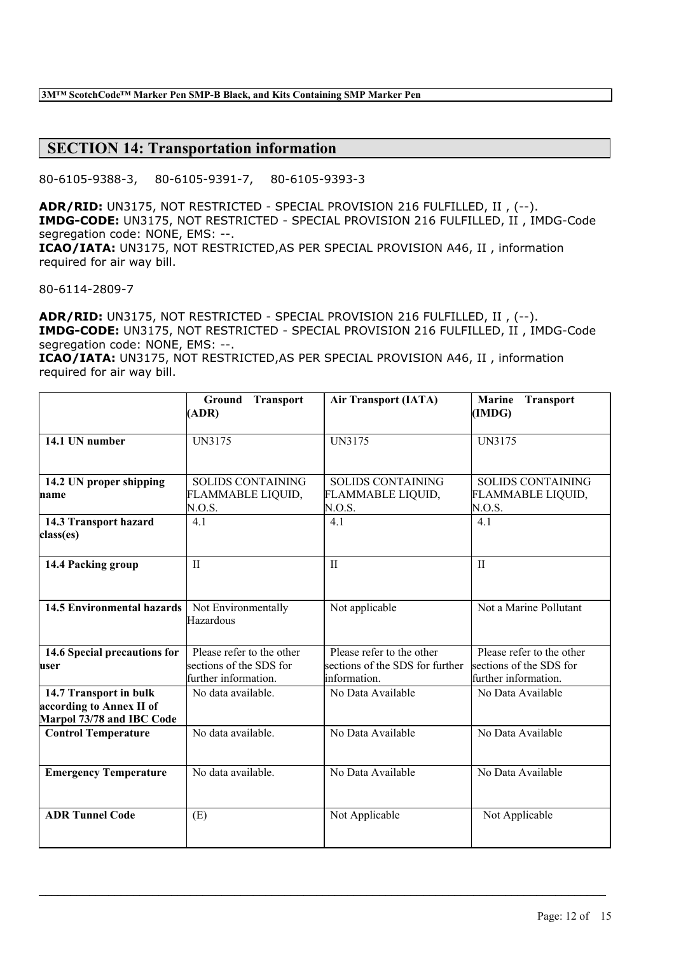## **SECTION 14: Transportation information**

80-6105-9388-3, 80-6105-9391-7, 80-6105-9393-3

**ADR/RID:** UN3175, NOT RESTRICTED - SPECIAL PROVISION 216 FULFILLED, II , (--). **IMDG-CODE:** UN3175, NOT RESTRICTED - SPECIAL PROVISION 216 FULFILLED, II , IMDG-Code segregation code: NONE, EMS: --. **ICAO/IATA:** UN3175, NOT RESTRICTED,AS PER SPECIAL PROVISION A46, II , information required for air way bill.

80-6114-2809-7

**ADR/RID:** UN3175, NOT RESTRICTED - SPECIAL PROVISION 216 FULFILLED, II , (--). **IMDG-CODE:** UN3175, NOT RESTRICTED - SPECIAL PROVISION 216 FULFILLED, II , IMDG-Code segregation code: NONE, EMS: --.

**ICAO/IATA:** UN3175, NOT RESTRICTED,AS PER SPECIAL PROVISION A46, II , information required for air way bill.

|                                                                                 | <b>Ground Transport</b><br>(ADR)                                             | <b>Air Transport (IATA)</b>                                                  | <b>Transport</b><br><b>Marine</b><br>(IMDG)                                  |
|---------------------------------------------------------------------------------|------------------------------------------------------------------------------|------------------------------------------------------------------------------|------------------------------------------------------------------------------|
| 14.1 UN number                                                                  | UN3175                                                                       | UN3175                                                                       | UN3175                                                                       |
| 14.2 UN proper shipping<br>name                                                 | <b>SOLIDS CONTAINING</b><br>FLAMMABLE LIQUID,<br>N.O.S.                      | <b>SOLIDS CONTAINING</b><br>FLAMMABLE LIQUID,<br>N.O.S.                      | <b>SOLIDS CONTAINING</b><br>FLAMMABLE LIQUID,<br>N.O.S.                      |
| 14.3 Transport hazard<br>class(es)                                              | 4.1                                                                          | 4.1                                                                          | 4.1                                                                          |
| 14.4 Packing group                                                              | $\mathbf{I}$                                                                 | $\mathbf{I}$                                                                 | $\mathbf{I}$                                                                 |
| <b>14.5 Environmental hazards</b>                                               | Not Environmentally<br>Hazardous                                             | Not applicable                                                               | Not a Marine Pollutant                                                       |
| 14.6 Special precautions for<br>user                                            | Please refer to the other<br>sections of the SDS for<br>further information. | Please refer to the other<br>sections of the SDS for further<br>information. | Please refer to the other<br>sections of the SDS for<br>further information. |
| 14.7 Transport in bulk<br>according to Annex II of<br>Marpol 73/78 and IBC Code | No data available.                                                           | No Data Available                                                            | No Data Available                                                            |
| <b>Control Temperature</b>                                                      | No data available.                                                           | No Data Available                                                            | No Data Available                                                            |
| <b>Emergency Temperature</b>                                                    | No data available.                                                           | No Data Available                                                            | No Data Available                                                            |
| <b>ADR Tunnel Code</b>                                                          | (E)                                                                          | Not Applicable                                                               | Not Applicable                                                               |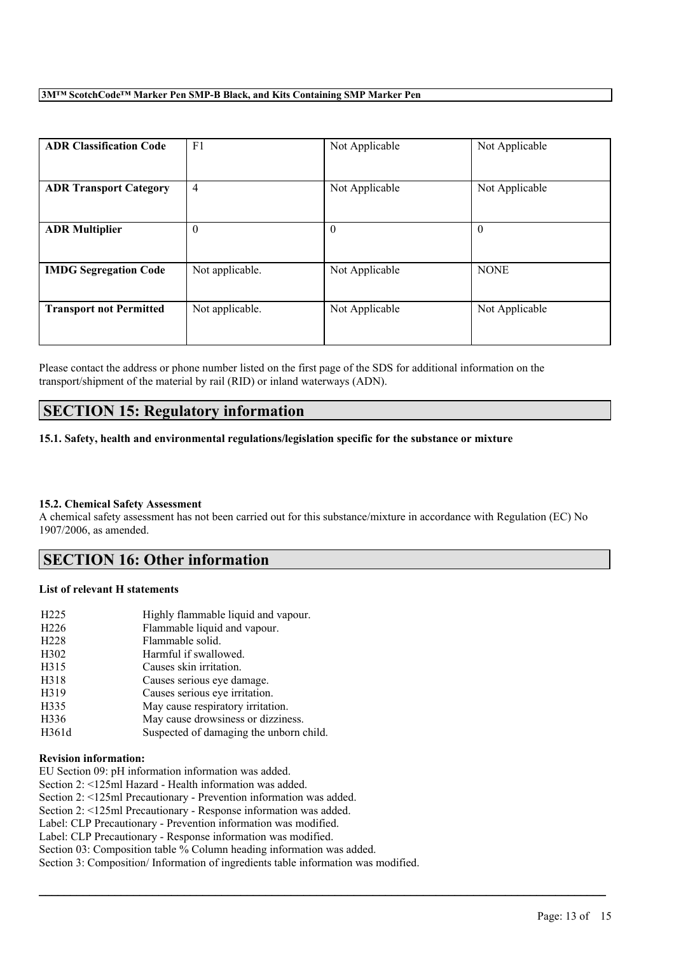| <b>ADR Classification Code</b> | F <sub>1</sub>  | Not Applicable | Not Applicable |
|--------------------------------|-----------------|----------------|----------------|
| <b>ADR Transport Category</b>  | $\overline{4}$  | Not Applicable | Not Applicable |
| <b>ADR Multiplier</b>          | $\theta$        | $\theta$       | $\theta$       |
| <b>IMDG Segregation Code</b>   | Not applicable. | Not Applicable | <b>NONE</b>    |
| <b>Transport not Permitted</b> | Not applicable. | Not Applicable | Not Applicable |

Please contact the address or phone number listed on the first page of the SDS for additional information on the transport/shipment of the material by rail (RID) or inland waterways (ADN).

# **SECTION 15: Regulatory information**

**15.1. Safety, health and environmental regulations/legislation specific for the substance or mixture**

## **15.2. Chemical Safety Assessment**

A chemical safety assessment has not been carried out for this substance/mixture in accordance with Regulation (EC) No 1907/2006, as amended.

 $\mathcal{L}_\mathcal{L} = \mathcal{L}_\mathcal{L} = \mathcal{L}_\mathcal{L} = \mathcal{L}_\mathcal{L} = \mathcal{L}_\mathcal{L} = \mathcal{L}_\mathcal{L} = \mathcal{L}_\mathcal{L} = \mathcal{L}_\mathcal{L} = \mathcal{L}_\mathcal{L} = \mathcal{L}_\mathcal{L} = \mathcal{L}_\mathcal{L} = \mathcal{L}_\mathcal{L} = \mathcal{L}_\mathcal{L} = \mathcal{L}_\mathcal{L} = \mathcal{L}_\mathcal{L} = \mathcal{L}_\mathcal{L} = \mathcal{L}_\mathcal{L}$ 

# **SECTION 16: Other information**

## **List of relevant H statements**

| H <sub>225</sub>  | Highly flammable liquid and vapour.     |
|-------------------|-----------------------------------------|
| H <sub>226</sub>  | Flammable liquid and vapour.            |
| H <sub>228</sub>  | Flammable solid.                        |
| H <sub>3</sub> 02 | Harmful if swallowed.                   |
| H315              | Causes skin irritation.                 |
| H318              | Causes serious eye damage.              |
| H319              | Causes serious eye irritation.          |
| H335              | May cause respiratory irritation.       |
| H336              | May cause drowsiness or dizziness.      |
| H361d             | Suspected of damaging the unborn child. |

## **Revision information:**

EU Section 09: pH information information was added.

Section 2: <125ml Hazard - Health information was added.

Section 2: <125ml Precautionary - Prevention information was added.

Section 2: <125ml Precautionary - Response information was added.

Label: CLP Precautionary - Prevention information was modified.

Label: CLP Precautionary - Response information was modified.

Section 03: Composition table % Column heading information was added.

Section 3: Composition/ Information of ingredients table information was modified.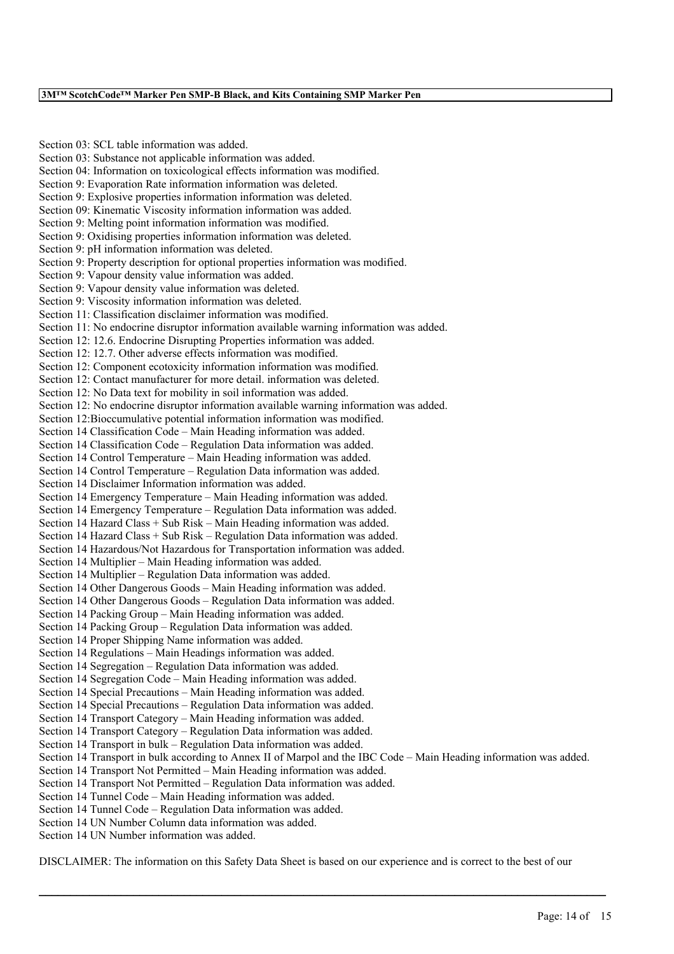Section 03: SCL table information was added. Section 03: Substance not applicable information was added. Section 04: Information on toxicological effects information was modified. Section 9: Evaporation Rate information information was deleted. Section 9: Explosive properties information information was deleted. Section 09: Kinematic Viscosity information information was added. Section 9: Melting point information information was modified. Section 9: Oxidising properties information information was deleted. Section 9: pH information information was deleted. Section 9: Property description for optional properties information was modified. Section 9: Vapour density value information was added. Section 9: Vapour density value information was deleted. Section 9: Viscosity information information was deleted. Section 11: Classification disclaimer information was modified. Section 11: No endocrine disruptor information available warning information was added. Section 12: 12.6. Endocrine Disrupting Properties information was added. Section 12: 12.7. Other adverse effects information was modified. Section 12: Component ecotoxicity information information was modified. Section 12: Contact manufacturer for more detail. information was deleted. Section 12: No Data text for mobility in soil information was added. Section 12: No endocrine disruptor information available warning information was added. Section 12:Bioccumulative potential information information was modified. Section 14 Classification Code – Main Heading information was added. Section 14 Classification Code – Regulation Data information was added. Section 14 Control Temperature – Main Heading information was added. Section 14 Control Temperature – Regulation Data information was added. Section 14 Disclaimer Information information was added. Section 14 Emergency Temperature – Main Heading information was added. Section 14 Emergency Temperature – Regulation Data information was added. Section 14 Hazard Class + Sub Risk – Main Heading information was added. Section 14 Hazard Class + Sub Risk – Regulation Data information was added. Section 14 Hazardous/Not Hazardous for Transportation information was added. Section 14 Multiplier – Main Heading information was added. Section 14 Multiplier – Regulation Data information was added. Section 14 Other Dangerous Goods – Main Heading information was added. Section 14 Other Dangerous Goods – Regulation Data information was added. Section 14 Packing Group – Main Heading information was added. Section 14 Packing Group – Regulation Data information was added. Section 14 Proper Shipping Name information was added. Section 14 Regulations – Main Headings information was added. Section 14 Segregation – Regulation Data information was added. Section 14 Segregation Code – Main Heading information was added. Section 14 Special Precautions – Main Heading information was added. Section 14 Special Precautions – Regulation Data information was added. Section 14 Transport Category – Main Heading information was added. Section 14 Transport Category – Regulation Data information was added. Section 14 Transport in bulk – Regulation Data information was added. Section 14 Transport in bulk according to Annex II of Marpol and the IBC Code – Main Heading information was added. Section 14 Transport Not Permitted – Main Heading information was added. Section 14 Transport Not Permitted – Regulation Data information was added. Section 14 Tunnel Code – Main Heading information was added. Section 14 Tunnel Code – Regulation Data information was added. Section 14 UN Number Column data information was added. Section 14 UN Number information was added.

DISCLAIMER: The information on this Safety Data Sheet is based on our experience and is correct to the best of our